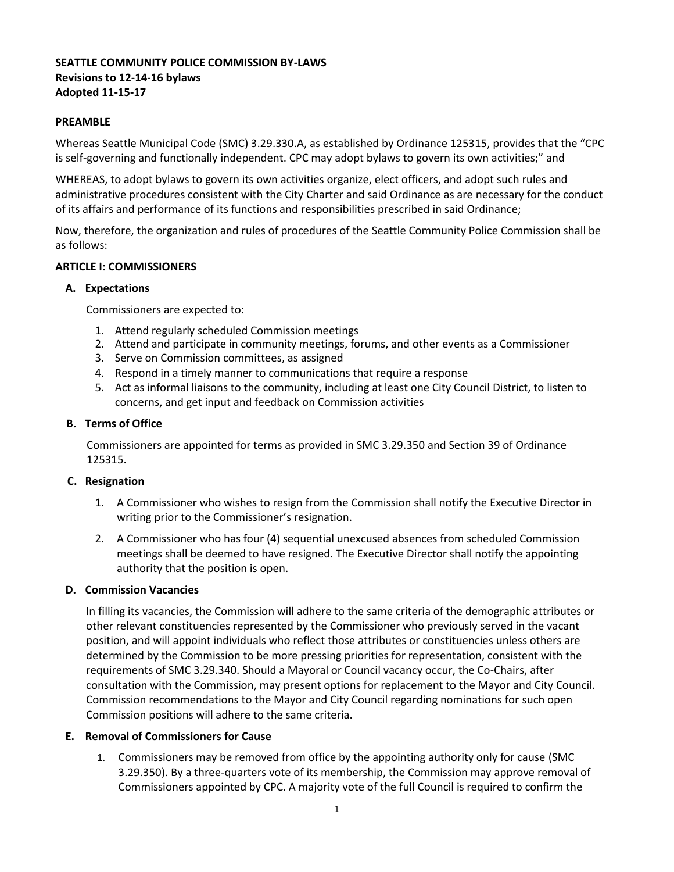# **SEATTLE COMMUNITY POLICE COMMISSION BY-LAWS Revisions to 12-14-16 bylaws Adopted 11-15-17**

### **PREAMBLE**

Whereas Seattle Municipal Code (SMC) 3.29.330.A, as established by Ordinance 125315, provides that the "CPC is self-governing and functionally independent. CPC may adopt bylaws to govern its own activities;" and

WHEREAS, to adopt bylaws to govern its own activities organize, elect officers, and adopt such rules and administrative procedures consistent with the City Charter and said Ordinance as are necessary for the conduct of its affairs and performance of its functions and responsibilities prescribed in said Ordinance;

Now, therefore, the organization and rules of procedures of the Seattle Community Police Commission shall be as follows:

### **ARTICLE I: COMMISSIONERS**

### **A. Expectations**

Commissioners are expected to:

- 1. Attend regularly scheduled Commission meetings
- 2. Attend and participate in community meetings, forums, and other events as a Commissioner
- 3. Serve on Commission committees, as assigned
- 4. Respond in a timely manner to communications that require a response
- 5. Act as informal liaisons to the community, including at least one City Council District, to listen to concerns, and get input and feedback on Commission activities

### **B. Terms of Office**

Commissioners are appointed for terms as provided in SMC 3.29.350 and Section 39 of Ordinance 125315.

## **C. Resignation**

- 1. A Commissioner who wishes to resign from the Commission shall notify the Executive Director in writing prior to the Commissioner's resignation.
- 2. A Commissioner who has four (4) sequential unexcused absences from scheduled Commission meetings shall be deemed to have resigned. The Executive Director shall notify the appointing authority that the position is open.

## **D. Commission Vacancies**

In filling its vacancies, the Commission will adhere to the same criteria of the demographic attributes or other relevant constituencies represented by the Commissioner who previously served in the vacant position, and will appoint individuals who reflect those attributes or constituencies unless others are determined by the Commission to be more pressing priorities for representation, consistent with the requirements of SMC 3.29.340. Should a Mayoral or Council vacancy occur, the Co-Chairs, after consultation with the Commission, may present options for replacement to the Mayor and City Council. Commission recommendations to the Mayor and City Council regarding nominations for such open Commission positions will adhere to the same criteria.

## **E. Removal of Commissioners for Cause**

1. Commissioners may be removed from office by the appointing authority only for cause (SMC 3.29.350). By a three-quarters vote of its membership, the Commission may approve removal of Commissioners appointed by CPC. A majority vote of the full Council is required to confirm the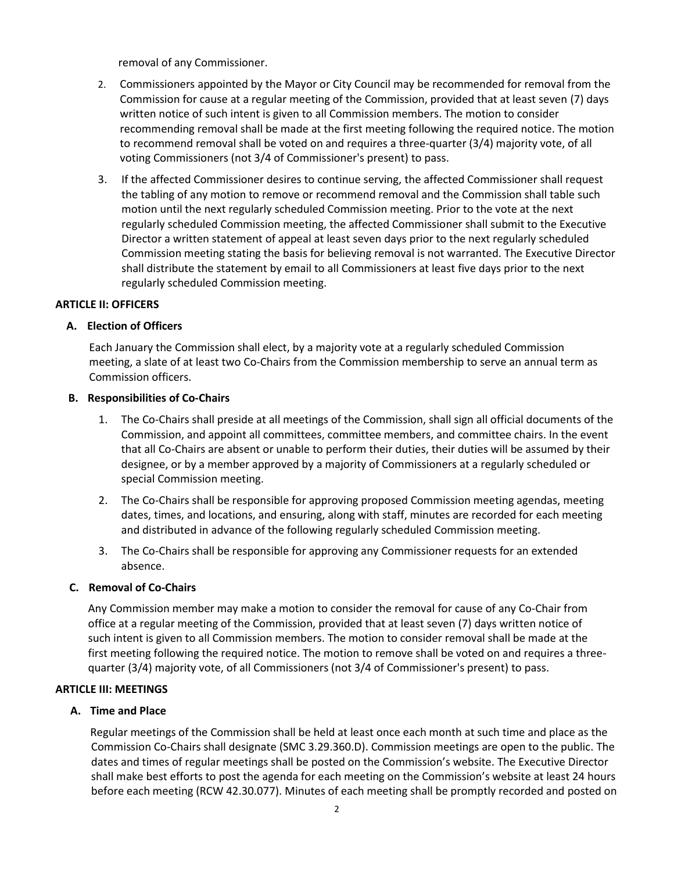removal of any Commissioner.

- 2. Commissioners appointed by the Mayor or City Council may be recommended for removal from the Commission for cause at a regular meeting of the Commission, provided that at least seven (7) days written notice of such intent is given to all Commission members. The motion to consider recommending removal shall be made at the first meeting following the required notice. The motion to recommend removal shall be voted on and requires a three-quarter (3/4) majority vote, of all voting Commissioners (not 3/4 of Commissioner's present) to pass.
- 3. If the affected Commissioner desires to continue serving, the affected Commissioner shall request the tabling of any motion to remove or recommend removal and the Commission shall table such motion until the next regularly scheduled Commission meeting. Prior to the vote at the next regularly scheduled Commission meeting, the affected Commissioner shall submit to the Executive Director a written statement of appeal at least seven days prior to the next regularly scheduled Commission meeting stating the basis for believing removal is not warranted. The Executive Director shall distribute the statement by email to all Commissioners at least five days prior to the next regularly scheduled Commission meeting.

### **ARTICLE II: OFFICERS**

### **A. Election of Officers**

Each January the Commission shall elect, by a majority vote at a regularly scheduled Commission meeting, a slate of at least two Co-Chairs from the Commission membership to serve an annual term as Commission officers.

#### **B. Responsibilities of Co-Chairs**

- 1. The Co-Chairs shall preside at all meetings of the Commission, shall sign all official documents of the Commission, and appoint all committees, committee members, and committee chairs. In the event that all Co-Chairs are absent or unable to perform their duties, their duties will be assumed by their designee, or by a member approved by a majority of Commissioners at a regularly scheduled or special Commission meeting.
- 2. The Co-Chairs shall be responsible for approving proposed Commission meeting agendas, meeting dates, times, and locations, and ensuring, along with staff, minutes are recorded for each meeting and distributed in advance of the following regularly scheduled Commission meeting.
- 3. The Co-Chairs shall be responsible for approving any Commissioner requests for an extended absence.

## **C. Removal of Co-Chairs**

Any Commission member may make a motion to consider the removal for cause of any Co-Chair from office at a regular meeting of the Commission, provided that at least seven (7) days written notice of such intent is given to all Commission members. The motion to consider removal shall be made at the first meeting following the required notice. The motion to remove shall be voted on and requires a threequarter (3/4) majority vote, of all Commissioners (not 3/4 of Commissioner's present) to pass.

#### **ARTICLE III: MEETINGS**

#### **A. Time and Place**

Regular meetings of the Commission shall be held at least once each month at such time and place as the Commission Co-Chairs shall designate (SMC 3.29.360.D). Commission meetings are open to the public. The dates and times of regular meetings shall be posted on the Commission's website. The Executive Director shall make best efforts to post the agenda for each meeting on the Commission's website at least 24 hours before each meeting (RCW 42.30.077). Minutes of each meeting shall be promptly recorded and posted on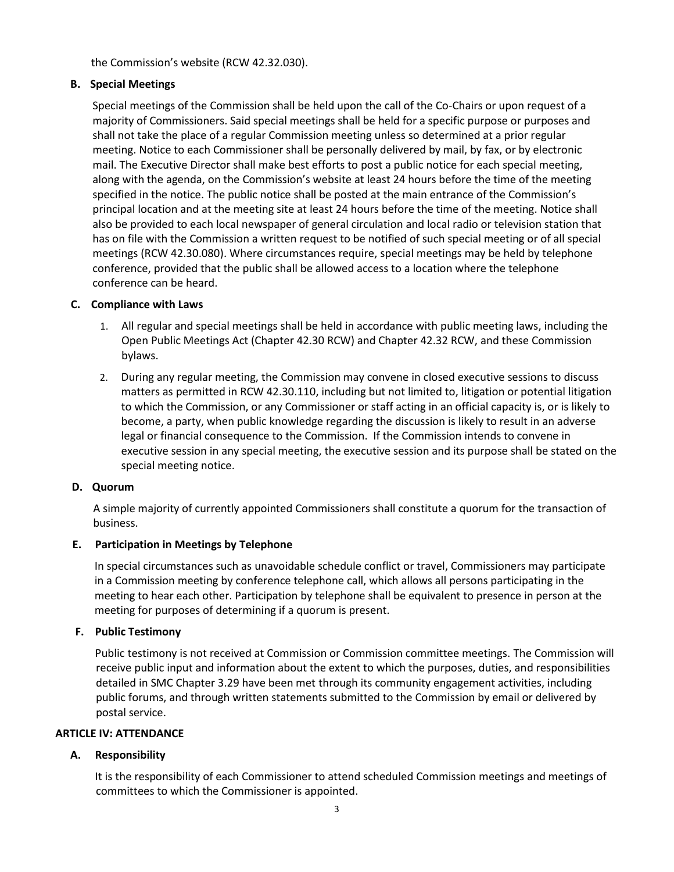the Commission's website (RCW 42.32.030).

## **B. Special Meetings**

Special meetings of the Commission shall be held upon the call of the Co-Chairs or upon request of a majority of Commissioners. Said special meetings shall be held for a specific purpose or purposes and shall not take the place of a regular Commission meeting unless so determined at a prior regular meeting. Notice to each Commissioner shall be personally delivered by mail, by fax, or by electronic mail. The Executive Director shall make best efforts to post a public notice for each special meeting, along with the agenda, on the Commission's website at least 24 hours before the time of the meeting specified in the notice. The public notice shall be posted at the main entrance of the Commission's principal location and at the meeting site at least 24 hours before the time of the meeting. Notice shall also be provided to each local newspaper of general circulation and local radio or television station that has on file with the Commission a written request to be notified of such special meeting or of all special meetings (RCW 42.30.080). Where circumstances require, special meetings may be held by telephone conference, provided that the public shall be allowed access to a location where the telephone conference can be heard.

### **C. Compliance with Laws**

- 1. All regular and special meetings shall be held in accordance with public meeting laws, including the Open Public Meetings Act (Chapter 42.30 RCW) and Chapter 42.32 RCW, and these Commission bylaws.
- 2. During any regular meeting, the Commission may convene in closed executive sessions to discuss matters as permitted in RCW 42.30.110, including but not limited to, litigation or potential litigation to which the Commission, or any Commissioner or staff acting in an official capacity is, or is likely to become, a party, when public knowledge regarding the discussion is likely to result in an adverse legal or financial consequence to the Commission. If the Commission intends to convene in executive session in any special meeting, the executive session and its purpose shall be stated on the special meeting notice.

#### **D. Quorum**

A simple majority of currently appointed Commissioners shall constitute a quorum for the transaction of business.

## **E. Participation in Meetings by Telephone**

In special circumstances such as unavoidable schedule conflict or travel, Commissioners may participate in a Commission meeting by conference telephone call, which allows all persons participating in the meeting to hear each other. Participation by telephone shall be equivalent to presence in person at the meeting for purposes of determining if a quorum is present.

#### **F. Public Testimony**

Public testimony is not received at Commission or Commission committee meetings. The Commission will receive public input and information about the extent to which the purposes, duties, and responsibilities detailed in SMC Chapter 3.29 have been met through its community engagement activities, including public forums, and through written statements submitted to the Commission by email or delivered by postal service.

#### **ARTICLE IV: ATTENDANCE**

## **A. Responsibility**

It is the responsibility of each Commissioner to attend scheduled Commission meetings and meetings of committees to which the Commissioner is appointed.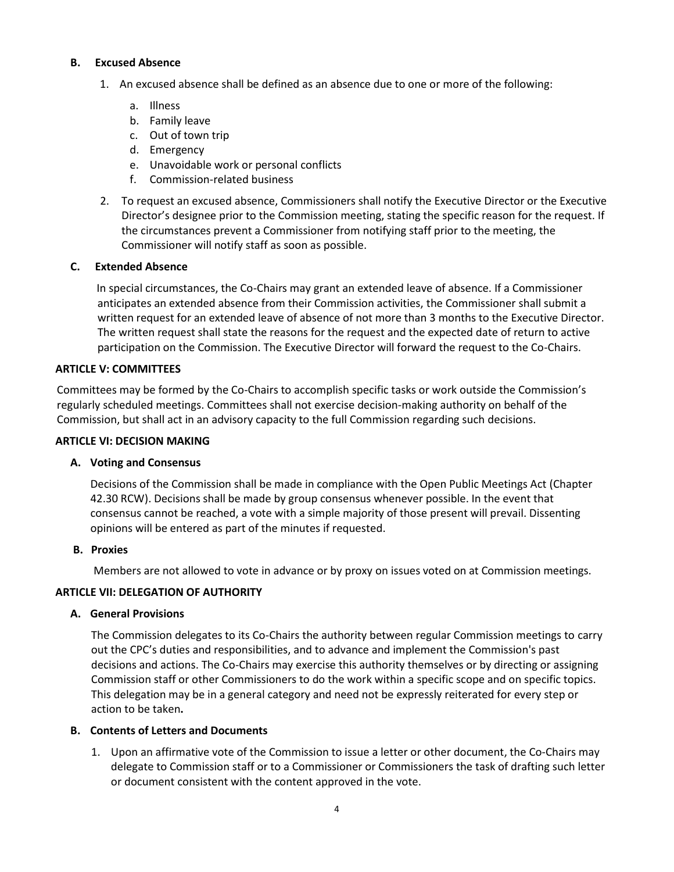### **B. Excused Absence**

- 1. An excused absence shall be defined as an absence due to one or more of the following:
	- a. Illness
	- b. Family leave
	- c. Out of town trip
	- d. Emergency
	- e. Unavoidable work or personal conflicts
	- f. Commission-related business
- 2. To request an excused absence, Commissioners shall notify the Executive Director or the Executive Director's designee prior to the Commission meeting, stating the specific reason for the request. If the circumstances prevent a Commissioner from notifying staff prior to the meeting, the Commissioner will notify staff as soon as possible.

## **C. Extended Absence**

In special circumstances, the Co-Chairs may grant an extended leave of absence. If a Commissioner anticipates an extended absence from their Commission activities, the Commissioner shall submit a written request for an extended leave of absence of not more than 3 months to the Executive Director. The written request shall state the reasons for the request and the expected date of return to active participation on the Commission. The Executive Director will forward the request to the Co-Chairs.

### **ARTICLE V: COMMITTEES**

Committees may be formed by the Co-Chairs to accomplish specific tasks or work outside the Commission's regularly scheduled meetings. Committees shall not exercise decision-making authority on behalf of the Commission, but shall act in an advisory capacity to the full Commission regarding such decisions.

#### **ARTICLE VI: DECISION MAKING**

## **A. Voting and Consensus**

Decisions of the Commission shall be made in compliance with the Open Public Meetings Act (Chapter 42.30 RCW). Decisions shall be made by group consensus whenever possible. In the event that consensus cannot be reached, a vote with a simple majority of those present will prevail. Dissenting opinions will be entered as part of the minutes if requested.

#### **B. Proxies**

Members are not allowed to vote in advance or by proxy on issues voted on at Commission meetings.

## **ARTICLE VII: DELEGATION OF AUTHORITY**

#### **A. General Provisions**

The Commission delegates to its Co-Chairs the authority between regular Commission meetings to carry out the CPC's duties and responsibilities, and to advance and implement the Commission's past decisions and actions. The Co-Chairs may exercise this authority themselves or by directing or assigning Commission staff or other Commissioners to do the work within a specific scope and on specific topics. This delegation may be in a general category and need not be expressly reiterated for every step or action to be taken**.**

## **B. Contents of Letters and Documents**

1. Upon an affirmative vote of the Commission to issue a letter or other document, the Co-Chairs may delegate to Commission staff or to a Commissioner or Commissioners the task of drafting such letter or document consistent with the content approved in the vote.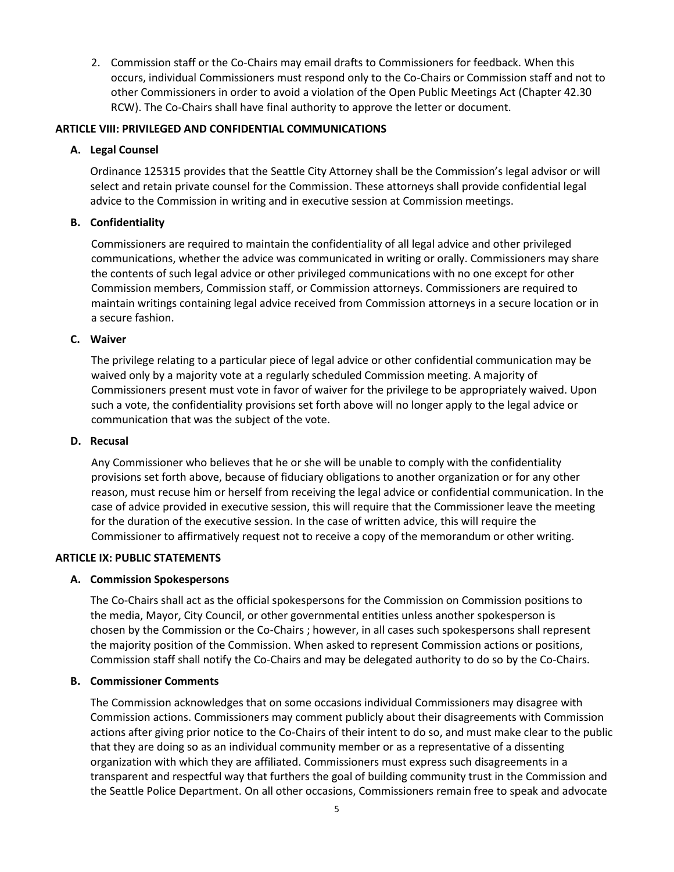2. Commission staff or the Co-Chairs may email drafts to Commissioners for feedback. When this occurs, individual Commissioners must respond only to the Co-Chairs or Commission staff and not to other Commissioners in order to avoid a violation of the Open Public Meetings Act (Chapter 42.30 RCW). The Co-Chairs shall have final authority to approve the letter or document.

### **ARTICLE VIII: PRIVILEGED AND CONFIDENTIAL COMMUNICATIONS**

### **A. Legal Counsel**

Ordinance 125315 provides that the Seattle City Attorney shall be the Commission's legal advisor or will select and retain private counsel for the Commission. These attorneys shall provide confidential legal advice to the Commission in writing and in executive session at Commission meetings.

### **B. Confidentiality**

Commissioners are required to maintain the confidentiality of all legal advice and other privileged communications, whether the advice was communicated in writing or orally. Commissioners may share the contents of such legal advice or other privileged communications with no one except for other Commission members, Commission staff, or Commission attorneys. Commissioners are required to maintain writings containing legal advice received from Commission attorneys in a secure location or in a secure fashion.

## **C. Waiver**

The privilege relating to a particular piece of legal advice or other confidential communication may be waived only by a majority vote at a regularly scheduled Commission meeting. A majority of Commissioners present must vote in favor of waiver for the privilege to be appropriately waived. Upon such a vote, the confidentiality provisions set forth above will no longer apply to the legal advice or communication that was the subject of the vote.

#### **D. Recusal**

Any Commissioner who believes that he or she will be unable to comply with the confidentiality provisions set forth above, because of fiduciary obligations to another organization or for any other reason, must recuse him or herself from receiving the legal advice or confidential communication. In the case of advice provided in executive session, this will require that the Commissioner leave the meeting for the duration of the executive session. In the case of written advice, this will require the Commissioner to affirmatively request not to receive a copy of the memorandum or other writing.

## **ARTICLE IX: PUBLIC STATEMENTS**

## **A. Commission Spokespersons**

The Co-Chairs shall act as the official spokespersons for the Commission on Commission positions to the media, Mayor, City Council, or other governmental entities unless another spokesperson is chosen by the Commission or the Co-Chairs ; however, in all cases such spokespersons shall represent the majority position of the Commission. When asked to represent Commission actions or positions, Commission staff shall notify the Co-Chairs and may be delegated authority to do so by the Co-Chairs.

#### **B. Commissioner Comments**

The Commission acknowledges that on some occasions individual Commissioners may disagree with Commission actions. Commissioners may comment publicly about their disagreements with Commission actions after giving prior notice to the Co-Chairs of their intent to do so, and must make clear to the public that they are doing so as an individual community member or as a representative of a dissenting organization with which they are affiliated. Commissioners must express such disagreements in a transparent and respectful way that furthers the goal of building community trust in the Commission and the Seattle Police Department. On all other occasions, Commissioners remain free to speak and advocate